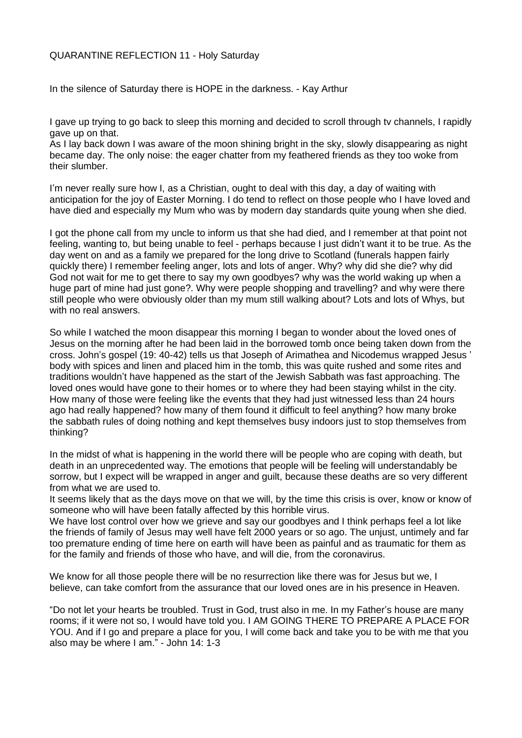## QUARANTINE REFLECTION 11 - Holy Saturday

In the silence of Saturday there is HOPE in the darkness. - Kay Arthur

I gave up trying to go back to sleep this morning and decided to scroll through tv channels, I rapidly gave up on that.

As I lay back down I was aware of the moon shining bright in the sky, slowly disappearing as night became day. The only noise: the eager chatter from my feathered friends as they too woke from their slumber.

I'm never really sure how I, as a Christian, ought to deal with this day, a day of waiting with anticipation for the joy of Easter Morning. I do tend to reflect on those people who I have loved and have died and especially my Mum who was by modern day standards quite young when she died.

I got the phone call from my uncle to inform us that she had died, and I remember at that point not feeling, wanting to, but being unable to feel - perhaps because I just didn't want it to be true. As the day went on and as a family we prepared for the long drive to Scotland (funerals happen fairly quickly there) I remember feeling anger, lots and lots of anger. Why? why did she die? why did God not wait for me to get there to say my own goodbyes? why was the world waking up when a huge part of mine had just gone?. Why were people shopping and travelling? and why were there still people who were obviously older than my mum still walking about? Lots and lots of Whys, but with no real answers.

So while I watched the moon disappear this morning I began to wonder about the loved ones of Jesus on the morning after he had been laid in the borrowed tomb once being taken down from the cross. John's gospel (19: 40-42) tells us that Joseph of Arimathea and Nicodemus wrapped Jesus ' body with spices and linen and placed him in the tomb, this was quite rushed and some rites and traditions wouldn't have happened as the start of the Jewish Sabbath was fast approaching. The loved ones would have gone to their homes or to where they had been staying whilst in the city. How many of those were feeling like the events that they had just witnessed less than 24 hours ago had really happened? how many of them found it difficult to feel anything? how many broke the sabbath rules of doing nothing and kept themselves busy indoors just to stop themselves from thinking?

In the midst of what is happening in the world there will be people who are coping with death, but death in an unprecedented way. The emotions that people will be feeling will understandably be sorrow, but I expect will be wrapped in anger and guilt, because these deaths are so very different from what we are used to.

It seems likely that as the days move on that we will, by the time this crisis is over, know or know of someone who will have been fatally affected by this horrible virus.

We have lost control over how we grieve and say our goodbyes and I think perhaps feel a lot like the friends of family of Jesus may well have felt 2000 years or so ago. The unjust, untimely and far too premature ending of time here on earth will have been as painful and as traumatic for them as for the family and friends of those who have, and will die, from the coronavirus.

We know for all those people there will be no resurrection like there was for Jesus but we, I believe, can take comfort from the assurance that our loved ones are in his presence in Heaven.

"Do not let your hearts be troubled. Trust in God, trust also in me. In my Father's house are many rooms; if it were not so, I would have told you. I AM GOING THERE TO PREPARE A PLACE FOR YOU. And if I go and prepare a place for you, I will come back and take you to be with me that you also may be where I am." - John 14: 1-3